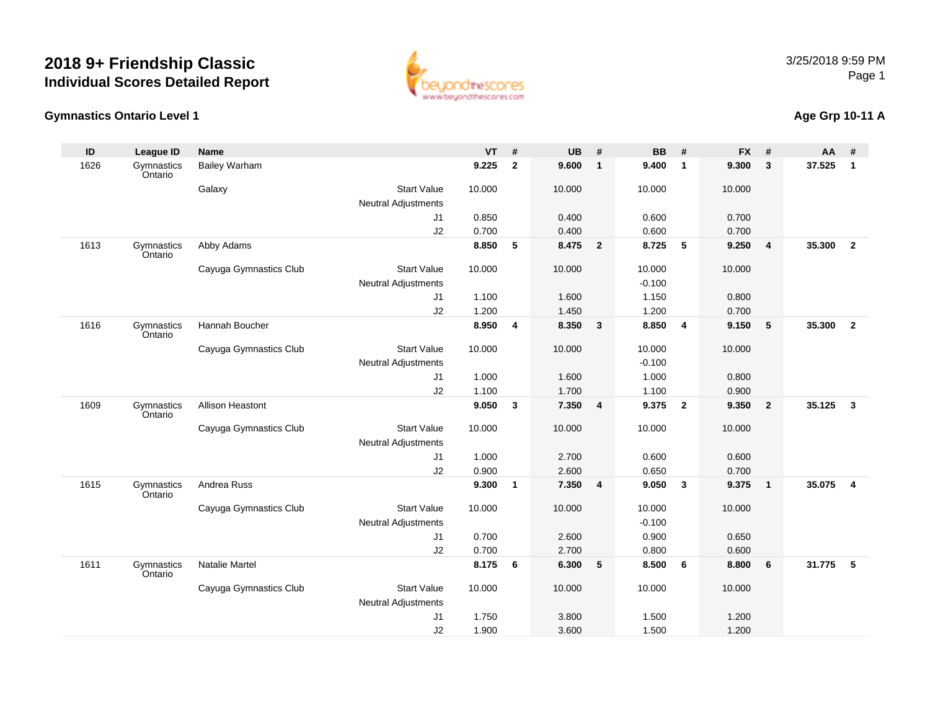

## **Gymnastics Ontario Level 1**

## **Age Grp 10-11 A**

| ID   | <b>League ID</b>      | <b>Name</b>             |                            | <b>VT</b> | #              | <b>UB</b> | #              | <b>BB</b> | #                       | <b>FX</b> | #                       | AA     | #              |
|------|-----------------------|-------------------------|----------------------------|-----------|----------------|-----------|----------------|-----------|-------------------------|-----------|-------------------------|--------|----------------|
| 1626 | Gymnastics<br>Ontario | <b>Bailey Warham</b>    |                            | 9.225     | $\overline{2}$ | 9.600     | $\overline{1}$ | 9.400     | $\overline{1}$          | 9.300     | $\overline{\mathbf{3}}$ | 37.525 | $\mathbf{1}$   |
|      |                       | Galaxy                  | <b>Start Value</b>         | 10.000    |                | 10.000    |                | 10.000    |                         | 10.000    |                         |        |                |
|      |                       |                         | <b>Neutral Adjustments</b> |           |                |           |                |           |                         |           |                         |        |                |
|      |                       |                         | J1                         | 0.850     |                | 0.400     |                | 0.600     |                         | 0.700     |                         |        |                |
|      |                       |                         | J2                         | 0.700     |                | 0.400     |                | 0.600     |                         | 0.700     |                         |        |                |
| 1613 | Gymnastics<br>Ontario | Abby Adams              |                            | 8.850     | 5              | 8.475     | $\overline{2}$ | 8.725     | 5                       | 9.250     | $\overline{4}$          | 35.300 | $\overline{2}$ |
|      |                       | Cayuga Gymnastics Club  | <b>Start Value</b>         | 10.000    |                | 10.000    |                | 10.000    |                         | 10.000    |                         |        |                |
|      |                       |                         | <b>Neutral Adjustments</b> |           |                |           |                | $-0.100$  |                         |           |                         |        |                |
|      |                       |                         | J1                         | 1.100     |                | 1.600     |                | 1.150     |                         | 0.800     |                         |        |                |
|      |                       |                         | J2                         | 1.200     |                | 1.450     |                | 1.200     |                         | 0.700     |                         |        |                |
| 1616 | Gymnastics<br>Ontario | Hannah Boucher          |                            | 8.950     | 4              | 8.350     | $\mathbf{3}$   | 8.850     | $\overline{4}$          | 9.150     | 5                       | 35,300 | $\overline{2}$ |
|      |                       | Cayuga Gymnastics Club  | <b>Start Value</b>         | 10.000    |                | 10.000    |                | 10.000    |                         | 10.000    |                         |        |                |
|      |                       |                         | <b>Neutral Adjustments</b> |           |                |           |                | $-0.100$  |                         |           |                         |        |                |
|      |                       |                         | J1                         | 1.000     |                | 1.600     |                | 1.000     |                         | 0.800     |                         |        |                |
|      |                       |                         | J2                         | 1.100     |                | 1.700     |                | 1.100     |                         | 0.900     |                         |        |                |
| 1609 | Gymnastics<br>Ontario | <b>Allison Heastont</b> |                            | 9.050     | 3              | 7.350     | $\overline{4}$ | 9.375     | $\overline{\mathbf{2}}$ | 9.350     | $\overline{\mathbf{2}}$ | 35.125 | $\mathbf{3}$   |
|      |                       | Cayuga Gymnastics Club  | <b>Start Value</b>         | 10.000    |                | 10.000    |                | 10.000    |                         | 10.000    |                         |        |                |
|      |                       |                         | <b>Neutral Adjustments</b> |           |                |           |                |           |                         |           |                         |        |                |
|      |                       |                         | J1                         | 1.000     |                | 2.700     |                | 0.600     |                         | 0.600     |                         |        |                |
|      |                       |                         | J2                         | 0.900     |                | 2.600     |                | 0.650     |                         | 0.700     |                         |        |                |
| 1615 | Gymnastics<br>Ontario | Andrea Russ             |                            | 9.300     | $\mathbf{1}$   | 7.350     | $\overline{4}$ | 9.050     | $\mathbf{3}$            | 9.375     | $\overline{1}$          | 35.075 | $\overline{4}$ |
|      |                       | Cayuga Gymnastics Club  | <b>Start Value</b>         | 10.000    |                | 10.000    |                | 10.000    |                         | 10.000    |                         |        |                |
|      |                       |                         | <b>Neutral Adjustments</b> |           |                |           |                | $-0.100$  |                         |           |                         |        |                |
|      |                       |                         | J1                         | 0.700     |                | 2.600     |                | 0.900     |                         | 0.650     |                         |        |                |
|      |                       |                         | J2                         | 0.700     |                | 2.700     |                | 0.800     |                         | 0.600     |                         |        |                |
| 1611 | Gymnastics<br>Ontario | Natalie Martel          |                            | 8.175     | 6              | 6.300     | 5              | 8.500     | 6                       | 8.800     | 6                       | 31.775 | 5              |
|      |                       | Cayuga Gymnastics Club  | <b>Start Value</b>         | 10.000    |                | 10.000    |                | 10.000    |                         | 10.000    |                         |        |                |
|      |                       |                         | Neutral Adjustments        |           |                |           |                |           |                         |           |                         |        |                |
|      |                       |                         | J1                         | 1.750     |                | 3.800     |                | 1.500     |                         | 1.200     |                         |        |                |
|      |                       |                         | J2                         | 1.900     |                | 3.600     |                | 1.500     |                         | 1.200     |                         |        |                |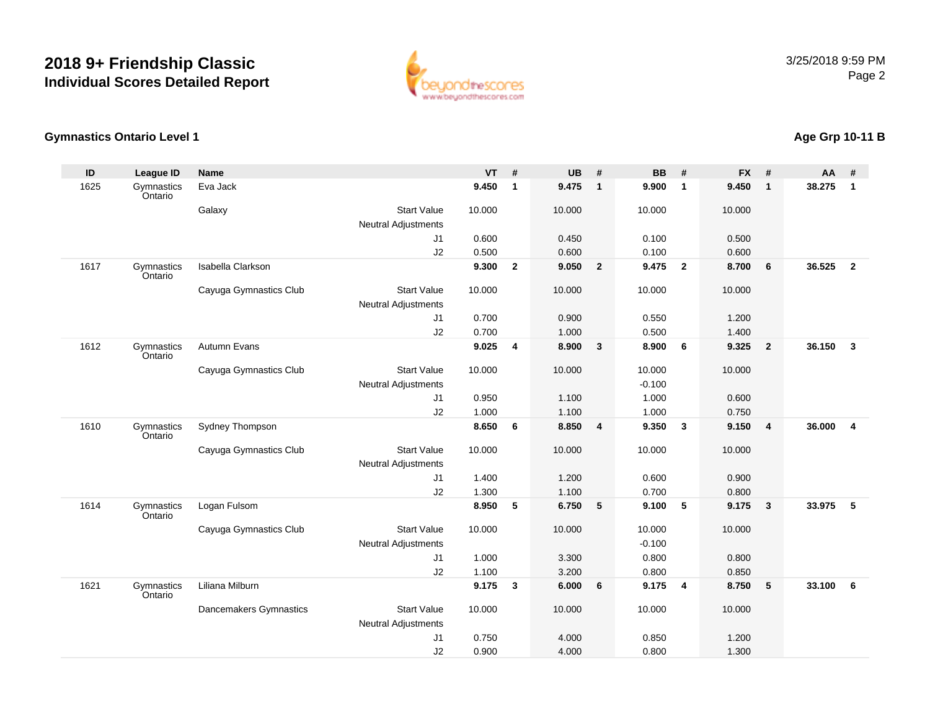

#### **Gymnastics Ontario Level 1**

#### **ID League ID Name VT # UB # BB # FX # AA #** 1625**Gymnastics Ontario** Eva Jack **9.450 <sup>1</sup> 9.475 <sup>1</sup> 9.900 <sup>1</sup> 9.450 <sup>1</sup> 38.275 <sup>1</sup> Galaxy**  Start Valuee 10.000 10.000 10.000 10.000 Neutral Adjustments J1 0.600 0.450 0.100 0.500 J2 0.500 0.600 0.100 0.600 1617**Gymnastics** OntarioIsabella Clarkson **9.300 <sup>2</sup> 9.050 <sup>2</sup> 9.475 <sup>2</sup> 8.700 <sup>6</sup> 36.525 <sup>2</sup>** Cayuga Gymnastics Club Start Value 10.000 10.000 10.000 10.000 Neutral AdjustmentsJ1 0.700 0.900 0.550 1.200 J2 0.700 1.000 0.500 1.400 1612 Gymnastics OntarioAutumn Evans**9.025 <sup>4</sup> 8.900 <sup>3</sup> 8.900 <sup>6</sup> 9.325 <sup>2</sup> 36.150 <sup>3</sup>** Cayuga Gymnastics Club Start Value 10.000 10.000 10.000 10.000 Neutral Adjustments $-0.100$ 1.000 J1 0.950 1.100 1.000 0.600 J2 1.000 1.100 1.000 0.750 1610**Gymnastics** OntarioSydney Thompson **8.650 <sup>6</sup> 8.850 <sup>4</sup> 9.350 <sup>3</sup> 9.150 <sup>4</sup> 36.000 <sup>4</sup>** Cayuga Gymnastics Club Start Value 10.000 10.000 10.000 10.000 Neutral Adjustments J1 1.400 1.200 0.600 0.900 J2 1.300 1.100 0.700 0.800 1614**Gymnastics** OntarioLogan Fulsom **8.950 <sup>5</sup> 6.750 <sup>5</sup> 9.100 <sup>5</sup> 9.175 <sup>3</sup> 33.975 <sup>5</sup>** Cayuga Gymnastics Club Start Value 10.000 10.000 10.000 10.000 Neutral Adjustments $\sim$  -0.100 0.800 J1 1.000 3.300 0.800 0.800 J2 1.100 3.200 0.800 0.850 1621 Gymnastics OntarioLiliana Milburn **9.175 <sup>3</sup> 6.000 <sup>6</sup> 9.175 <sup>4</sup> 8.750 <sup>5</sup> 33.100 <sup>6</sup>** Dancemakers Gymnastics Start Valuee 10.000 10.000 10.000 10.000 Neutral Adjustments J1 0.750 4.000 0.850 1.200 J20.900 4.000 0.800 1.300

# **Age Grp 10-11 B**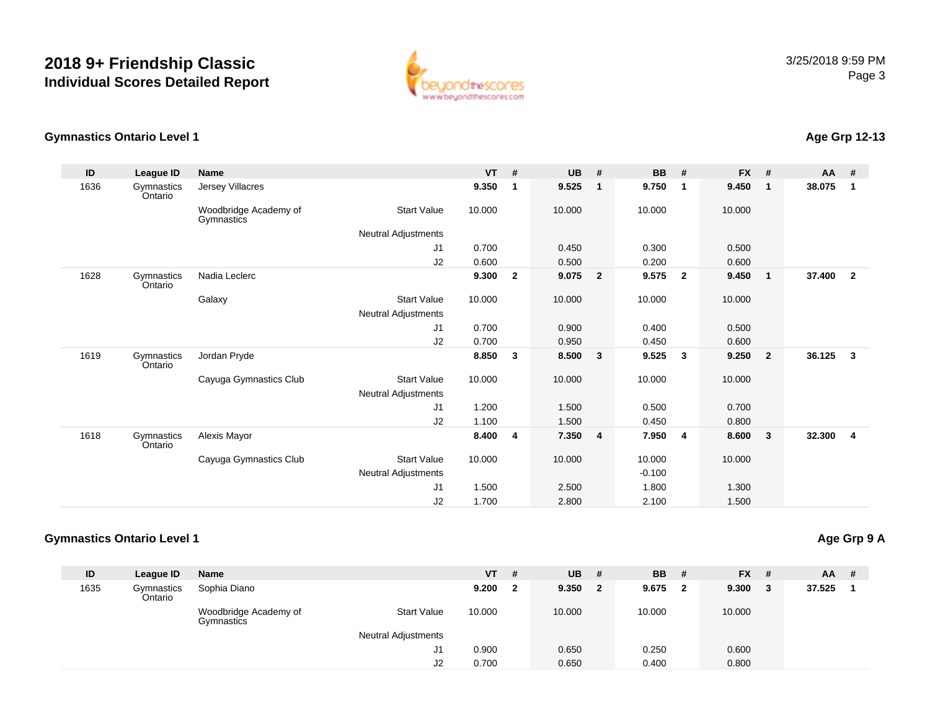

#### **Gymnastics Ontario Level 1**

#### **ID League ID Name VT # UB # BB # FX # AA #** 1636**Gymnastics** OntarioJersey Villacres**9.350 <sup>1</sup> 9.525 <sup>1</sup> 9.750 <sup>1</sup> 9.450 <sup>1</sup> 38.075 <sup>1</sup>** Woodbridge Academy of GymnasticsStart Valuee 10.000 10.000 10.000 10.000 Neutral Adjustments J1 0.700 0.450 0.300 0.500 J2 0.600 0.500 0.200 0.600 1628 Gymnastics OntarioNadia Leclerc**c 9.300 <sup>2</sup> 9.075 <sup>2</sup> 9.575 <sup>2</sup> 9.450 <sup>1</sup> 37.400 <sup>2</sup>** Galaxy Start Valuee 10.000 10.000 10.000 10.000 Neutral Adjustments J1 0.700 0.900 0.400 0.500 J2 0.700 0.950 0.450 0.600 1619 Gymnastics OntarioJordan Pryde **8.850 <sup>3</sup> 8.500 <sup>3</sup> 9.525 <sup>3</sup> 9.250 <sup>2</sup> 36.125 <sup>3</sup>** Cayuga Gymnastics Club Start Value 10.000 10.000 10.000 10.000 Neutral Adjustments J1 1.200 1.500 0.500 0.700 J2 1.100 1.500 0.450 0.800 1618 Gymnastics OntarioAlexis Mayor **8.400 <sup>4</sup> 7.350 <sup>4</sup> 7.950 <sup>4</sup> 8.600 <sup>3</sup> 32.300 <sup>4</sup>** Cayuga Gymnastics Club Start Value 10.000 10.000 10.000 10.000 Neutral Adjustments $\sim$  -0.100 1.800 J1 1.500 2.500 1.800 1.300 J21.700 2.800 2.100 1.500

#### **Gymnastics Ontario Level 1**

**Age Grp 9 A**

| ID   | League ID             | Name                                |                            | <b>VT</b> | #  | <b>UB</b> | #            | <b>BB</b> # |                         | <b>FX</b> | -#  | <b>AA</b> | -# |
|------|-----------------------|-------------------------------------|----------------------------|-----------|----|-----------|--------------|-------------|-------------------------|-----------|-----|-----------|----|
| 1635 | Gymnastics<br>Ontario | Sophia Diano                        |                            | 9.200     | -2 | 9.350     | $\mathbf{2}$ | 9.675       | $\overline{\mathbf{2}}$ | 9.300     | - 3 | 37.525    |    |
|      |                       | Woodbridge Academy of<br>Gymnastics | <b>Start Value</b>         | 10.000    |    | 10.000    |              | 10.000      |                         | 10.000    |     |           |    |
|      |                       |                                     | <b>Neutral Adjustments</b> |           |    |           |              |             |                         |           |     |           |    |
|      |                       |                                     | J1                         | 0.900     |    | 0.650     |              | 0.250       |                         | 0.600     |     |           |    |
|      |                       |                                     | J2                         | 0.700     |    | 0.650     |              | 0.400       |                         | 0.800     |     |           |    |

# **Age Grp 12-13**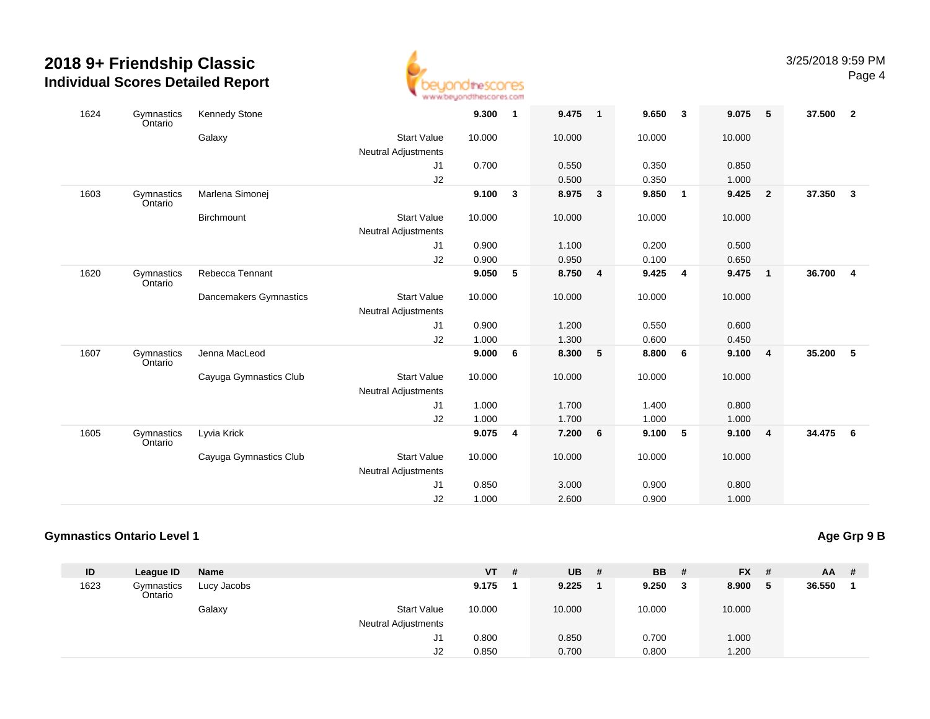

| 1624 | Gymnastics<br>Ontario | <b>Kennedy Stone</b>   |                            | 9.300  | $\mathbf{1}$ | 9.475   | $\overline{1}$   | 9.650  | $\overline{\mathbf{3}}$ | 9.075  | 5                       | 37.500   | $\overline{\mathbf{2}}$ |
|------|-----------------------|------------------------|----------------------------|--------|--------------|---------|------------------|--------|-------------------------|--------|-------------------------|----------|-------------------------|
|      |                       | Galaxy                 | <b>Start Value</b>         | 10.000 |              | 10.000  |                  | 10.000 |                         | 10.000 |                         |          |                         |
|      |                       |                        | Neutral Adjustments        |        |              |         |                  |        |                         |        |                         |          |                         |
|      |                       |                        | J1                         | 0.700  |              | 0.550   |                  | 0.350  |                         | 0.850  |                         |          |                         |
|      |                       |                        | J2                         |        |              | 0.500   |                  | 0.350  |                         | 1.000  |                         |          |                         |
| 1603 | Gymnastics<br>Ontario | Marlena Simonej        |                            | 9.100  | $\mathbf{3}$ | 8.975   | $\mathbf{3}$     | 9.850  | $\overline{1}$          | 9.425  | $\overline{\mathbf{2}}$ | 37.350   | $\mathbf{3}$            |
|      |                       | Birchmount             | <b>Start Value</b>         | 10.000 |              | 10.000  |                  | 10.000 |                         | 10.000 |                         |          |                         |
|      |                       |                        | <b>Neutral Adjustments</b> |        |              |         |                  |        |                         |        |                         |          |                         |
|      |                       |                        | J1                         | 0.900  |              | 1.100   |                  | 0.200  |                         | 0.500  |                         |          |                         |
|      |                       |                        | J2                         | 0.900  |              | 0.950   |                  | 0.100  |                         | 0.650  |                         |          |                         |
| 1620 | Gymnastics<br>Ontario | Rebecca Tennant        |                            | 9.050  | 5            | 8.750 4 |                  | 9.425  | $\overline{\mathbf{4}}$ | 9.475  | $\overline{1}$          | 36.700   | $\overline{4}$          |
|      |                       | Dancemakers Gymnastics | <b>Start Value</b>         | 10.000 |              | 10.000  |                  | 10.000 |                         | 10.000 |                         |          |                         |
|      |                       |                        | Neutral Adjustments        |        |              |         |                  |        |                         |        |                         |          |                         |
|      |                       |                        | J1                         | 0.900  |              | 1.200   |                  | 0.550  |                         | 0.600  |                         |          |                         |
|      |                       |                        | J2                         | 1.000  |              | 1.300   |                  | 0.600  |                         | 0.450  |                         |          |                         |
| 1607 | Gymnastics<br>Ontario | Jenna MacLeod          |                            | 9.000  | 6            | 8.300   | 5                | 8.800  | - 6                     | 9.100  | $\overline{4}$          | 35.200   | 5                       |
|      |                       | Cayuga Gymnastics Club | <b>Start Value</b>         | 10.000 |              | 10.000  |                  | 10.000 |                         | 10.000 |                         |          |                         |
|      |                       |                        | <b>Neutral Adjustments</b> |        |              |         |                  |        |                         |        |                         |          |                         |
|      |                       |                        | J1                         | 1.000  |              | 1.700   |                  | 1.400  |                         | 0.800  |                         |          |                         |
|      |                       |                        | J2                         | 1.000  |              | 1.700   |                  | 1.000  |                         | 1.000  |                         |          |                         |
| 1605 | Gymnastics<br>Ontario | Lyvia Krick            |                            | 9.075  | 4            | 7.200   | $6\phantom{.0}6$ | 9.100  | 5                       | 9.100  | $\overline{4}$          | 34.475 6 |                         |
|      |                       | Cayuga Gymnastics Club | <b>Start Value</b>         | 10.000 |              | 10.000  |                  | 10.000 |                         | 10.000 |                         |          |                         |
|      |                       |                        | <b>Neutral Adjustments</b> |        |              |         |                  |        |                         |        |                         |          |                         |
|      |                       |                        | J1                         | 0.850  |              | 3.000   |                  | 0.900  |                         | 0.800  |                         |          |                         |
|      |                       |                        | J2                         | 1.000  |              | 2.600   |                  | 0.900  |                         | 1.000  |                         |          |                         |

## **Gymnastics Ontario Level 1**

**Age Grp 9 B**

| ID   | League ID             | Name        |                            | VT     | # | UB     | -# | <b>BB</b>   | - # | <b>FX</b> | -#  | AA     | # |
|------|-----------------------|-------------|----------------------------|--------|---|--------|----|-------------|-----|-----------|-----|--------|---|
| 1623 | Gymnastics<br>Ontario | Lucy Jacobs |                            | 9.175  |   | 9.225  |    | $9.250 \t3$ |     | 8.900     | - 5 | 36.550 |   |
|      |                       | Galaxy      | <b>Start Value</b>         | 10.000 |   | 10.000 |    | 10.000      |     | 10.000    |     |        |   |
|      |                       |             | <b>Neutral Adjustments</b> |        |   |        |    |             |     |           |     |        |   |
|      |                       |             | J1                         | 0.800  |   | 0.850  |    | 0.700       |     | 1.000     |     |        |   |
|      |                       |             | J2                         | 0.850  |   | 0.700  |    | 0.800       |     | 1.200     |     |        |   |